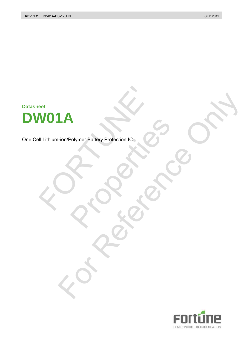# **Datasheet DW01A** WO1A<br>
II Lithium-ion/Polymer Battery Protection IC<br>
Contraction Contraction Contraction Contraction Contraction Contraction Contraction Contraction Contraction Contraction Contraction Contraction Contraction Contraction Co

One Cell Lithium-ion/Polymer Battery Protection IC Polymer Battery Protection IC. **IA Reference Protection IC 20 ONLY** 

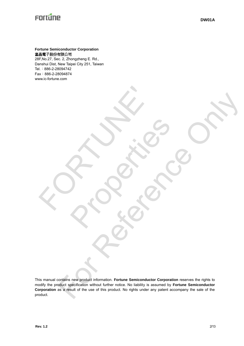# Fortune

## **Fortune Semiconductor Corporation**  富晶電子股份有限公司

28F,No.27, Sec. 2, Zhongzheng E. Rd., Danshui Dist, New Taipei City 251, Taiwan Tel.:886-2-28094742 Fax:886-2-28094874 www.ic-fortune.com

E PROFILE

This manual contains new product information. **Fortune Semiconductor Corporation** reserves the rights to modify the product specification without further notice. No liability is assumed by **Fortune Semiconductor Corporation** as a result of the use of this product. No rights under any patent accompany the sale of the product. For Reference Section Concernsion Concernsion Concernsion Concernsion Concernsion Concernsion Concernsion Concernsion Concernsion Concernsion Concernsion Concernsion Concernsion Concernsion Concernsion Concernsion Concerns

Rockers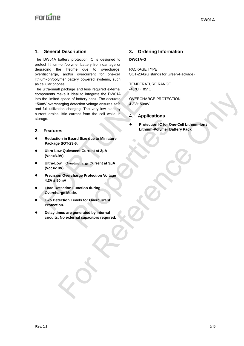# **Enrtime**

#### **1. General Description**

The DW01A battery protection IC is designed to protect lithium-ion/polymer battery from damage or degrading the lifetime due to overcharge, overdischarge, and/or overcurrent for one-cell lithium-ion/polymer battery powered systems, such as cellular phones.

The ultra-small package and less required external components make it ideal to integrate the DW01A into the limited space of battery pack. The accurate ±50mV overcharging detection voltage ensures safe and full utilization charging. The very low standby current drains little current from the cell while in storage. The ultra-small package and less required external<br>
mponents make it ideal to integrate the DW01A<br>
othe limited space of battery pack. The accurate<br>
COVERCHARGE<br>
COVERCHARGE<br>
covercharging detection voltage ensures safe<br> make it ideal to integrate the DWGTA<br>
stage of bathey pack. The accurate coverage of bathey pack the accurate<br>
a system of the course state of a system of the control of the control of the control of the control of the met

#### **2. Features**

- **Reduction in Board Size due to Miniature Package SOT-23-6.** Protection IC for One-<br>
Lithium-Polymer Batte<br>
Scent Current at 3µA<br>
erdischarge Current at 3µA<br>
charge Protection Voltage<br>
1. Function during<br>
1. Eurels for Overcurrent<br>
e generated by internal<br>
ternal capacitors required
- **Ultra-Low Quiescent Current at 3μA (Vcc=3.9V).**
- **Ultra-Low Overdischarge Current at 3μA (Vcc=2.0V).**
- **Precision Overcharge Protection Voltage 4.3V ± 50mV**
- **Load Detection Function during Overcharge Mode.**
- **Two Detection Levels for Overcurrent Protection.**
- **Delay times are generated by internal circuits. No external capacitors required.**

# **3. Ordering Information**

#### **DW01A-G**

PACKAGE TYPE SOT-23-6(G stands for Green-Package)

TEMPERATURE RANGE -40°C~+85°C

OVERCHARGE PROTECTION 4.3V± 50mV

- **4. Applications**
- **Protection IC for One-Cell Lithium-Ion / Lithium-Polymer Battery Pack**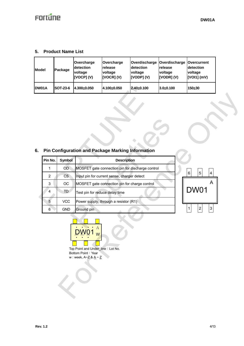## **5. Product Name List**

| <b>Model</b> | Package         | Overcharge<br><b>detection</b><br>voltage<br>[VOCP](V) | Overcharge<br><b>release</b><br>voltage<br>$[VOCR]$ (V) | Overdischarge   Overdischarge   Overcurrent<br>detection<br>voltage<br><b>IVODPI(V)</b> | Irelease<br>voltage<br>[VODR] (V) | detection<br>voltage<br>[VOI1] (mV) |
|--------------|-----------------|--------------------------------------------------------|---------------------------------------------------------|-----------------------------------------------------------------------------------------|-----------------------------------|-------------------------------------|
| DW01A        | <b>SOT-23-6</b> | 4.300±0.050                                            | 4.100±0.050                                             | 2.40±0.100                                                                              | $3.0 + 0.100$                     | 150+30                              |

# **6. Pin Configuration and Package Marking Information**

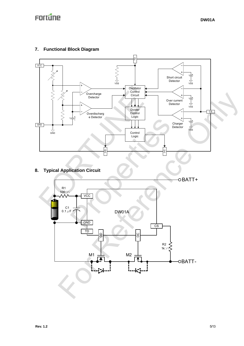## **7. Functional Block Diagram**



**8. Typical Application Circuit** 

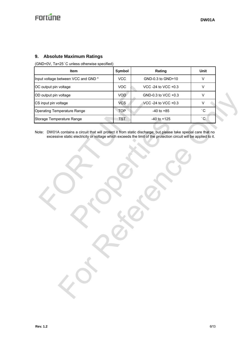# Fortune

## **9. Absolute Maximum Ratings**

(GND=0V, Ta=25°C unless otherwise specified)

| <b>Item</b>                        | Symbol     | Rating                | Unit |
|------------------------------------|------------|-----------------------|------|
| Input voltage between VCC and GND* | <b>VCC</b> | GND-0.3 to GND+10     | V    |
| OC output pin voltage              | VOC        | VCC -24 to VCC $+0.3$ | V    |
| OD output pin voltage              | <b>VOD</b> | GND-0.3 to VCC $+0.3$ |      |
| CS input pin voltage               | <b>VCS</b> | VCC -24 to VCC +0.3   | v    |
| <b>Operating Temperature Range</b> | <b>TOP</b> | $-40$ to $+85$        | °С   |
| Storage Temperature Range          | <b>TST</b> | $-40$ to $+125$       | °С   |

Note: DW01A contains a circuit that will protect it from static discharge; but please take special care that no excessive static electricity or voltage which exceeds the limit of the protection circuit will be applied to it.

Couput pin voltage<br>
Couput pin voltage<br>
Simput pin voltage<br>
Simput pin voltage<br>
Orage Temperature Range<br>
TOP<br>
TST<br>
TST<br>
TST<br>
TST<br>
TST<br>
Ate: DW01A contains a circuit that will protect it from static discharge<br>
excessive sta Range TST 40 to +125<br>
ins a circuit that will protect it from static discharge; but please ta<br>
ic electricity or voltage which exceeds the limit of the protection circuit. voltage<br>
distance<br>
mentalize Range<br>
For Alice Carolines and that will produce fix the Carolines and Carolines and Carolines and Carolines and Carolines and Carolines and Carolines and Carolines and Carolines and Carolines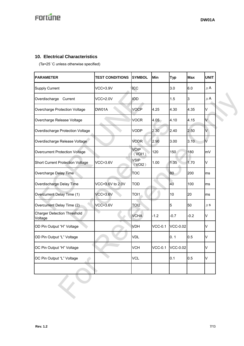## **10. Electrical Characteristics**

(Ta=25°C unless otherwise specified)

| <b>PARAMETER</b>                              | <b>TEST CONDITIONS</b> | <b>SYMBOL</b>         | Min            | <b>Typ</b>      | <b>Max</b> | <b>UNIT</b> |
|-----------------------------------------------|------------------------|-----------------------|----------------|-----------------|------------|-------------|
| <b>Supply Current</b>                         | $VCC=3.9V$             | <b>ICC</b>            |                | 3.0             | 6.0        | $\mu$ A     |
| Overdischarge<br>Current                      | $VCC=2.0V$             | IÒD                   |                | 1.5             | 3          | $\mu$ A     |
| Overcharge Protection Voltage                 | DW01A                  | <b>VOCP</b>           | 4.25           | 4.30            | 4.35       | V           |
| Overcharge Release Voltage                    |                        | <b>VOCR</b>           | 4.05           | 4.10            | 4.15       | V           |
| Overdischarge Protection Voltage              |                        | <b>VODP</b>           | 2.30           | 2.40            | 2.50       | V           |
| Overdischarge Release Voltage                 |                        | <b>VODR</b>           | 2.90           | 3.00            | 3.10       | V           |
| <b>Overcurrent Protection Voltage</b>         |                        | <b>VOIP</b><br>(VOI1) | 120            | 150             | 180        | mV          |
| <b>Short Current Protection Voltage</b>       | $VCC=3.6V$             | <b>VSIP</b><br>(VOI2) | 1.00           | 1.35            | 1.70       | V           |
| Overcharge Delay Time                         |                        | <b>TOC</b>            |                | 80              | 200        | ms          |
| Overdischarge Delay Time                      | VCC=3.6V to 2.0V       | <b>TOD</b>            |                | 40              | 100        | ms          |
| Overcurrent Delay Time (1)                    | $VCC=3.6V$             | TOI <sub>1</sub>      |                | 10              | 20         | ms          |
| Overcurrent Delay Time (2)                    | $VCC=3.6V$             | TOI <sub>2</sub>      |                | 5               | 50         | $\mu$ S     |
| <b>Charger Detection Threshold</b><br>Voltage |                        | <b>VCHA</b>           | $-1.2$         | $-0.7$          | $-0.2$     | V           |
| OD Pin Output "H" Voltage                     |                        | <b>VDH</b>            | <b>VCC-0.1</b> | <b>VCC-0.02</b> |            | V           |
| OD Pin Output "L" Voltage                     |                        | <b>VDL</b>            |                | 0.1             | 0.5        | V           |
| OC Pin Output "H" Voltage                     |                        | <b>VCH</b>            | <b>VCC-0.1</b> | <b>VCC-0.02</b> |            | V           |
| OC Pin Output "L" Voltage                     |                        | <b>VCL</b>            |                | 0.1             | 0.5        | V           |
|                                               |                        |                       |                |                 |            |             |
|                                               |                        |                       |                |                 |            |             |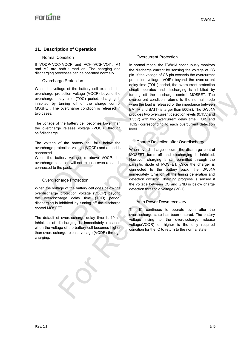## **11. Description of Operation**

#### Normal Condition

If VODP<VCC<VOCP and VCH<VCS<VOI1, M1 and M2 are both turned on. The charging and discharging processes can be operated normally.

#### Overcharge Protection

When the voltage of the battery cell exceeds the overcharge protection voltage (VOCP) beyond the overcharge delay time (TOC) period, charging is inhibited by turning off of the charge control MOSFET. The overcharge condition is released in two cases: hen the voltage of the battery cell exceeds the<br>
ericharge protection voltage (VOCP) beyond the<br>
ericharge delay time (TOC) period, charging is<br>
inibited by turning off of the charge control over the load is<br>
ocases:<br>
we v

The voltage of the battery cell becomes lower than the overcharge release voltage (VOCR) through self-discharge.

The voltage of the battery cell falls below the overcharge protection voltage (VOCP) and a load is connected.

When the battery voltage is above VOCP, the overcharge condition will not release even a load is connected to the pack.

#### Overdischarge Protection

When the voltage of the battery cell goes below the overdischarge protection voltage (VODP) beyond the overdischarge delay time (TOD) period, discharging is inhibited by turning off the discharge control MOSFET.

The default of overdischarge delay time is 10ms. Inhibition of discharging is immediately released when the voltage of the battery cell becomes higher than overdischarge release voltage (VODR) through charging.

#### Overcurrent Protection

In normal mode, the DW01A continuously monitors the discharge current by sensing the voltage of CS pin. If the voltage of CS pin exceeds the overcurrent protection voltage (VOIP) beyond the overcurrent delay time (TOI1) period, the overcurrent protection circuit operates and discharging is inhibited by turning off the discharge control MOSFET. The overcurrent condition returns to the normal mode when the load is released or the impedance between BATT+ and BATT- is larger than 500kΩ. The DW01A provides two overcurrent detection levels (0.15V and 1.35V) with two overcurrent delay time (TOI1 and TOI2) corresponding to each overcurrent detection level.

## Charge Detection after Overdischarge

When overdischarge occurs, the discharge control MOSFET turns off and discharging is inhibited. However, charging is still permitted through the parasitic diode of MOSFET. Once the charger is connected to the battery pack, the DW01A immediately turns on all the timing generation and detection circuitry. Charging progress is sensed if the voltage between CS and GND is below charge detection threshold voltage (VCH). 1.35V) with two overcurrent<br>
asse voltage (VOCR) through<br>
battery cell falls below the<br>
battery cell falls below the<br>
voltage (VOCP) and a load is<br>
when overdischarge occurs,<br>
voltage is above VOCP, the<br>
will not release e colocity housing of OCP) beyond the unitring of the distinguise control MoSFET. The<br>
unitring of the change only when the distinguist or the investment condition returns to the anomal mode<br>
unitring of of the change contro

#### Auto Power Down recovery

The IC continues to operate even after the overdischarge state has been entered. The battery voltage rising to the overdischarge release voltage(VODR) or higher is the only required condition for the IC to return to the normal state.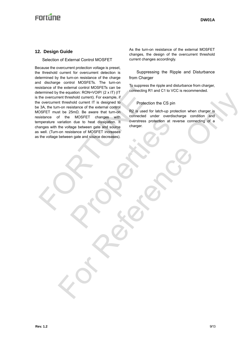# **Enritine**

## **12. Design Guide**

#### Selection of External Control MOSFET

Because the overcurrent protection voltage is preset, the threshold current for overcurrent detection is determined by the turn-on resistance of the charge and discharge control MOSFETs. The turn-on resistance of the external control MOSFETs can be determined by the equation: RON=VOIP/ (2 x IT) (IT is the overcurrent threshold current). For example, if the overcurrent threshold current IT is designed to be 3A, the turn-on resistance of the external control MOSFET must be 25mΩ. Be aware that turn-on resistance of the MOSFET changes with temperature variation due to heat dissipation. It changes with the voltage between gate and source as well. (Turn-on resistance of MOSFET increases as the voltage between gate and source decreases). Sistance of the external control MOSFETs can be<br>the overcurrent threshold current). For example, if<br>the overcurrent threshold current). For example, if<br>one connecting R1:<br>the overcurrent threshold current IT is designed to We to heat dissipation. It overstress protection at rev<br>age between gate and source<br>istance of MOSFET increases<br>in gate and source decreases). The measurement of the activity is complete.<br>
The measurement of the activity is complete.<br>
The activity is complete the CS pin<br>
The activity is completed that the condition when change is<br>
If the 25mD, the annual world un

As the turn-on resistance of the external MOSFET changes, the design of the overcurrent threshold current changes accordingly.

#### Suppressing the Ripple and Disturbance from Charger

To suppress the ripple and disturbance from charger, connecting R1 and C1 to VCC is recommended.

#### Protection the CS pin

R2 is used for latch-up protection when charger is connected under overdischarge condition and overstress protection at reverse connecting of a charger.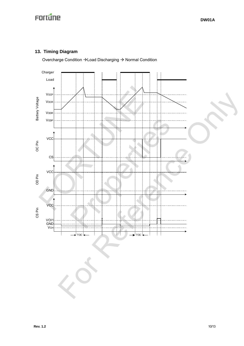# **13. Timing Diagram**

Overcharge Condition → Load Discharging → Normal Condition

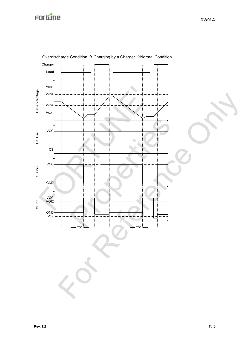

Overdischarge Condition  $\rightarrow$  Charging by a Charger  $\rightarrow$  Normal Condition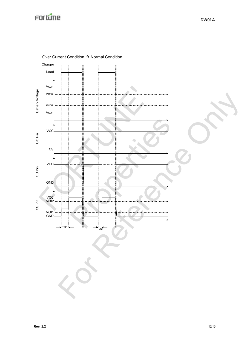

Over Current Condition → Normal Condition